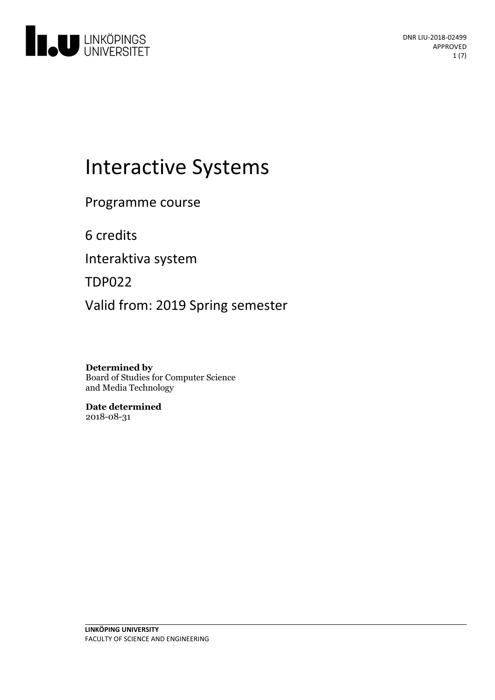

# Interactive Systems

Programme course

6 credits

Interaktiva system

TDP022

Valid from: 2019 Spring semester

**Determined by** Board of Studies for Computer Science and Media Technology

**Date determined** 2018-08-31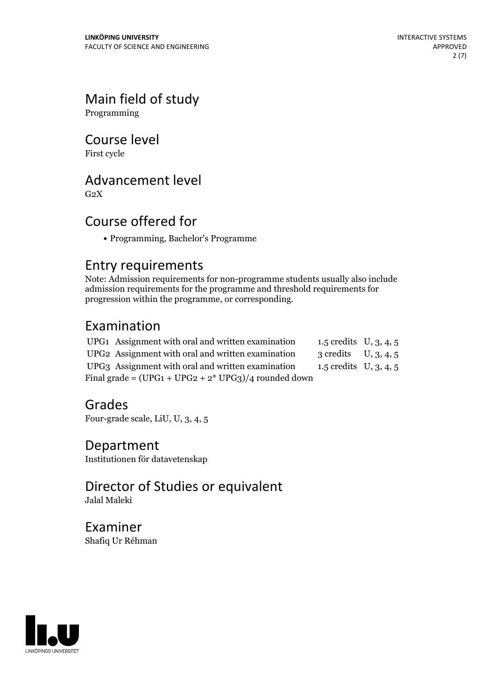# Main field of study

Programming

# Course level

First cycle

# Advancement level

 $G<sub>2</sub>X$ 

# Course offered for

Programming, Bachelor's Programme

### Entry requirements

Note: Admission requirements for non-programme students usually also include admission requirements for the programme and threshold requirements for progression within the programme, or corresponding.

# Examination

|                                                        | UPG1 Assignment with oral and written examination             | 1.5 credits $U, 3, 4, 5$ |  |
|--------------------------------------------------------|---------------------------------------------------------------|--------------------------|--|
|                                                        | UPG <sub>2</sub> Assignment with oral and written examination | 3 credits $U, 3, 4, 5$   |  |
|                                                        | UPG3 Assignment with oral and written examination             | 1.5 credits $U, 3, 4, 5$ |  |
| Final grade = $(UPG1 + UPG2 + 2* UPG3)/4$ rounded down |                                                               |                          |  |

## Grades

Four-grade scale, LiU, U, 3, 4, 5

### Department

Institutionen för datavetenskap

### Director of Studies or equivalent Jalal Maleki

Examiner Shafiq Ur Réhman

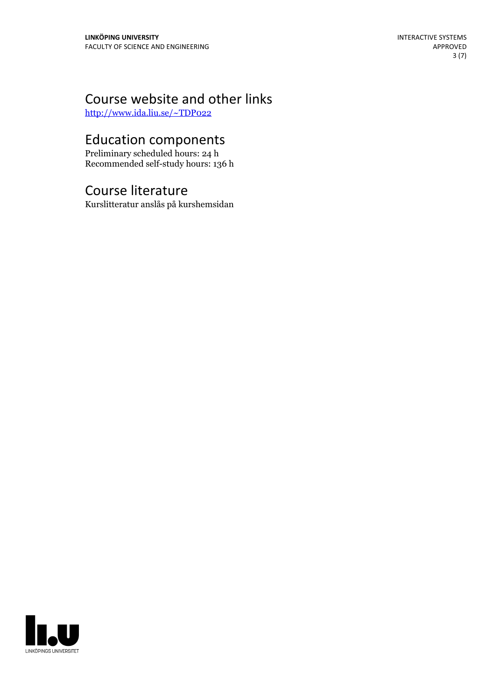# Course website and other links

<http://www.ida.liu.se/~TDP022>

# Education components

Preliminary scheduled hours: 24 h Recommended self-study hours: 136 h

## Course literature

Kurslitteratur anslås på kurshemsidan

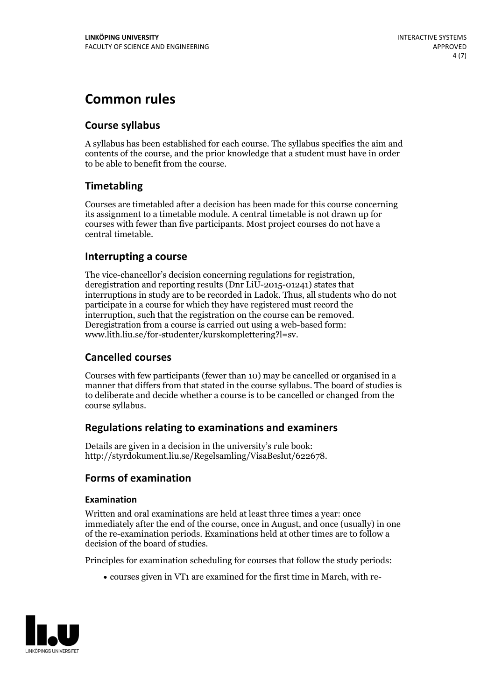# **Common rules**

### **Course syllabus**

A syllabus has been established for each course. The syllabus specifies the aim and contents of the course, and the prior knowledge that a student must have in order to be able to benefit from the course.

### **Timetabling**

Courses are timetabled after a decision has been made for this course concerning its assignment to a timetable module. A central timetable is not drawn up for courses with fewer than five participants. Most project courses do not have a central timetable.

### **Interrupting a course**

The vice-chancellor's decision concerning regulations for registration, deregistration and reporting results (Dnr LiU-2015-01241) states that interruptions in study are to be recorded in Ladok. Thus, all students who do not participate in a course for which they have registered must record the interruption, such that the registration on the course can be removed. Deregistration from <sup>a</sup> course is carried outusing <sup>a</sup> web-based form: www.lith.liu.se/for-studenter/kurskomplettering?l=sv.

### **Cancelled courses**

Courses with few participants (fewer than 10) may be cancelled or organised in a manner that differs from that stated in the course syllabus. The board of studies is to deliberate and decide whether a course is to be cancelled orchanged from the course syllabus.

### **Regulations relatingto examinations and examiners**

Details are given in a decision in the university's rule book: http://styrdokument.liu.se/Regelsamling/VisaBeslut/622678.

### **Forms of examination**

#### **Examination**

Written and oral examinations are held at least three times a year: once immediately after the end of the course, once in August, and once (usually) in one of the re-examination periods. Examinations held at other times are to follow a decision of the board of studies.

Principles for examination scheduling for courses that follow the study periods:

courses given in VT1 are examined for the first time in March, with re-

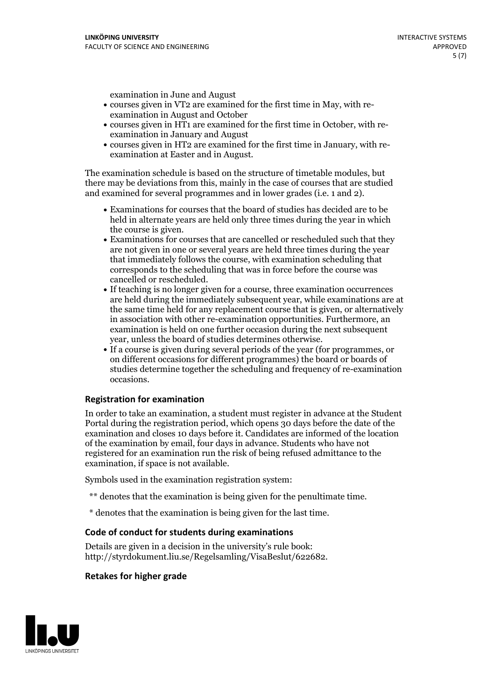examination in June and August

- courses given in VT2 are examined for the first time in May, with re-examination in August and October
- courses given in HT1 are examined for the first time in October, with re-examination in January and August
- courses given in HT2 are examined for the first time in January, with re-examination at Easter and in August.

The examination schedule is based on the structure of timetable modules, but there may be deviations from this, mainly in the case of courses that are studied and examined for several programmes and in lower grades (i.e. 1 and 2).

- Examinations for courses that the board of studies has decided are to be held in alternate years are held only three times during the year in which
- the course is given.<br>• Examinations for courses that are cancelled or rescheduled such that they are not given in one or several years are held three times during the year that immediately follows the course, with examination scheduling that corresponds to the scheduling that was in force before the course was cancelled or rescheduled.<br>• If teaching is no longer given for a course, three examination occurrences
- are held during the immediately subsequent year, while examinations are at the same time held for any replacement course that is given, or alternatively in association with other re-examination opportunities. Furthermore, an examination is held on one further occasion during the next subsequent year, unless the board of studies determines otherwise.<br>• If a course is given during several periods of the year (for programmes, or
- on different occasions for different programmes) the board orboards of studies determine together the scheduling and frequency of re-examination occasions.

#### **Registration for examination**

In order to take an examination, a student must register in advance at the Student Portal during the registration period, which opens 30 days before the date of the examination and closes 10 days before it. Candidates are informed of the location of the examination by email, four days in advance. Students who have not registered for an examination run the risk of being refused admittance to the examination, if space is not available.

Symbols used in the examination registration system:

- \*\* denotes that the examination is being given for the penultimate time.
- \* denotes that the examination is being given for the last time.

#### **Code of conduct for students during examinations**

Details are given in a decision in the university's rule book: http://styrdokument.liu.se/Regelsamling/VisaBeslut/622682.

#### **Retakes for higher grade**

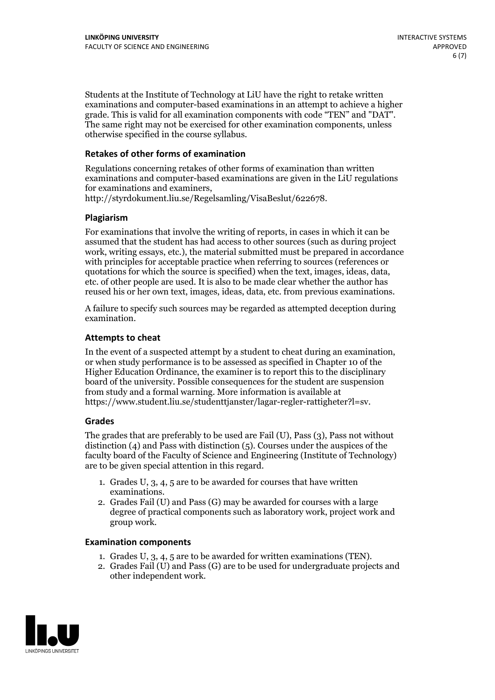Students at the Institute of Technology at LiU have the right to retake written examinations and computer-based examinations in an attempt to achieve a higher grade. This is valid for all examination components with code "TEN" and "DAT". The same right may not be exercised for other examination components, unless otherwise specified in the course syllabus.

### **Retakes of other forms of examination**

Regulations concerning retakes of other forms of examination than written examinations and computer-based examinations are given in the LiU regulations for examinations and examiners, http://styrdokument.liu.se/Regelsamling/VisaBeslut/622678.

#### **Plagiarism**

For examinations that involve the writing of reports, in cases in which it can be assumed that the student has had access to other sources (such as during project work, writing essays, etc.), the material submitted must be prepared in accordance with principles for acceptable practice when referring to sources (references or quotations for which the source is specified) when the text, images, ideas, data, etc. of other people are used. It is also to be made clear whether the author has reused his or her own text, images, ideas, data, etc. from previous examinations.

A failure to specify such sources may be regarded as attempted deception during examination.

#### **Attempts to cheat**

In the event of <sup>a</sup> suspected attempt by <sup>a</sup> student to cheat during an examination, or when study performance is to be assessed as specified in Chapter <sup>10</sup> of the Higher Education Ordinance, the examiner is to report this to the disciplinary board of the university. Possible consequences for the student are suspension from study and a formal warning. More information is available at https://www.student.liu.se/studenttjanster/lagar-regler-rattigheter?l=sv.

#### **Grades**

The grades that are preferably to be used are Fail (U), Pass (3), Pass not without distinction  $(4)$  and Pass with distinction  $(5)$ . Courses under the auspices of the faculty board of the Faculty of Science and Engineering (Institute of Technology) are to be given special attention in this regard.

- 1. Grades U, 3, 4, 5 are to be awarded for courses that have written
- examinations. 2. Grades Fail (U) and Pass (G) may be awarded for courses with <sup>a</sup> large degree of practical components such as laboratory work, project work and group work.

#### **Examination components**

- 
- 1. Grades U, 3, 4, <sup>5</sup> are to be awarded for written examinations (TEN). 2. Grades Fail (U) and Pass (G) are to be used for undergraduate projects and other independent work.